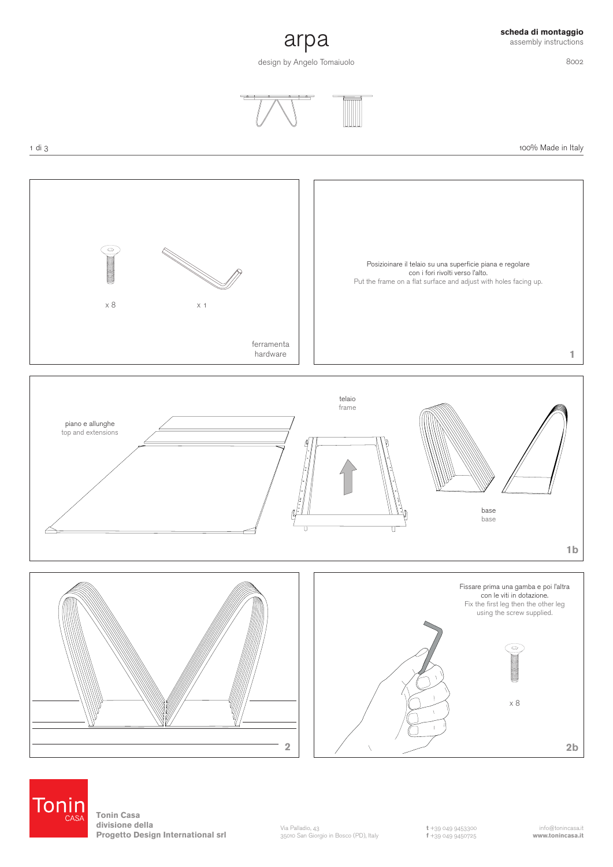## **scheda di montaggio** assembly instructions

8002



design by Angelo Tomaiuolo





100% Made in Italy





**Tonin Casa divisione della Progetto Design International srl**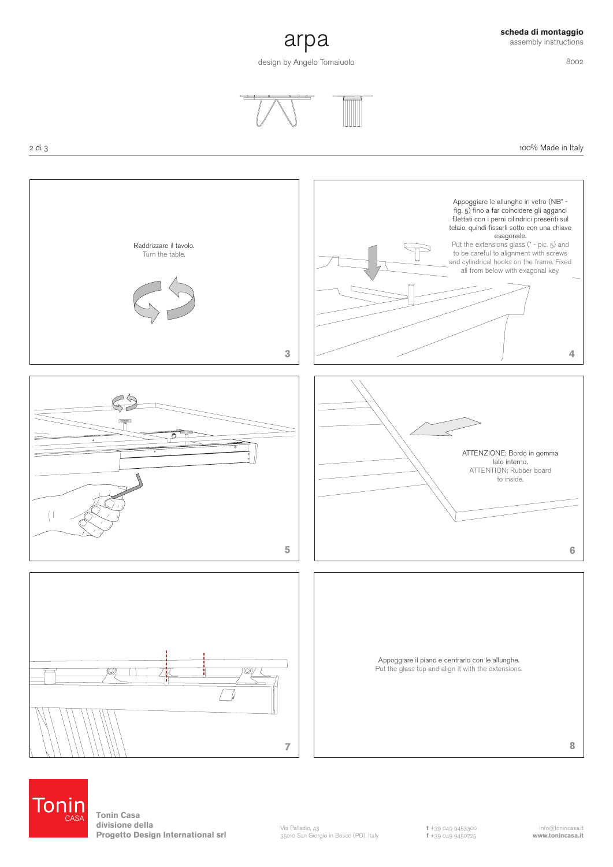## **scheda di montaggio** assembly instructions

8002

100% Made in Italy



design by Angelo Tomaiuolo







**Tonin Casa divisione della Progetto Design International srl**